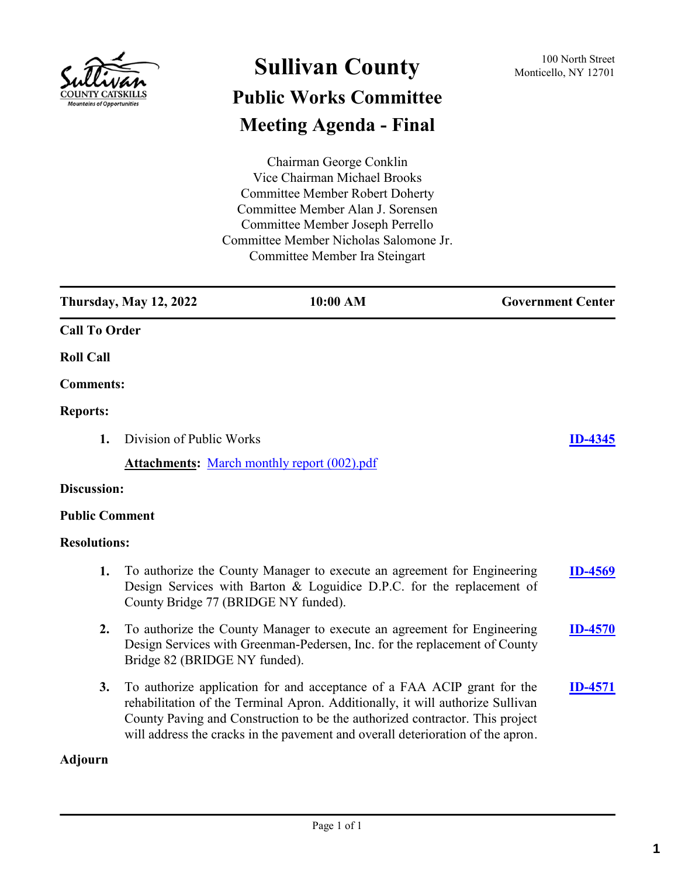

# **Sullivan County** 100 North Street 100 North Street **Public Works Committee Meeting Agenda - Final**

Chairman George Conklin Vice Chairman Michael Brooks Committee Member Robert Doherty Committee Member Alan J. Sorensen Committee Member Joseph Perrello Committee Member Nicholas Salomone Jr. Committee Member Ira Steingart

**Thursday, May 12, 2022 10:00 AM Government Center Call To Order Roll Call Comments: Reports: 1.** Division of Public Works **[ID-4345](http://sullivancountyny.legistar.com/gateway.aspx?m=l&id=/matter.aspx?key=1371) Attachments:** [March monthly report \(002\).pdf](http://sullivancountyny.legistar.com/gateway.aspx?M=F&ID=bed0bffc-a57f-4fbc-ae19-7337775c25d9.pdf) **Discussion: Public Comment Resolutions: 1.** To authorize the County Manager to execute an agreement for Engineering Design Services with Barton & Loguidice D.P.C. for the replacement of County Bridge 77 (BRIDGE NY funded). **[ID-4569](http://sullivancountyny.legistar.com/gateway.aspx?m=l&id=/matter.aspx?key=1595) 2.** To authorize the County Manager to execute an agreement for Engineering Design Services with Greenman-Pedersen, Inc. for the replacement of County Bridge 82 (BRIDGE NY funded). **[ID-4570](http://sullivancountyny.legistar.com/gateway.aspx?m=l&id=/matter.aspx?key=1596) 3.** To authorize application for and acceptance of a FAA ACIP grant for the rehabilitation of the Terminal Apron. Additionally, it will authorize Sullivan County Paving and Construction to be the authorized contractor. This project **[ID-4571](http://sullivancountyny.legistar.com/gateway.aspx?m=l&id=/matter.aspx?key=1597)**

#### **Adjourn**

will address the cracks in the pavement and overall deterioration of the apron.

**1**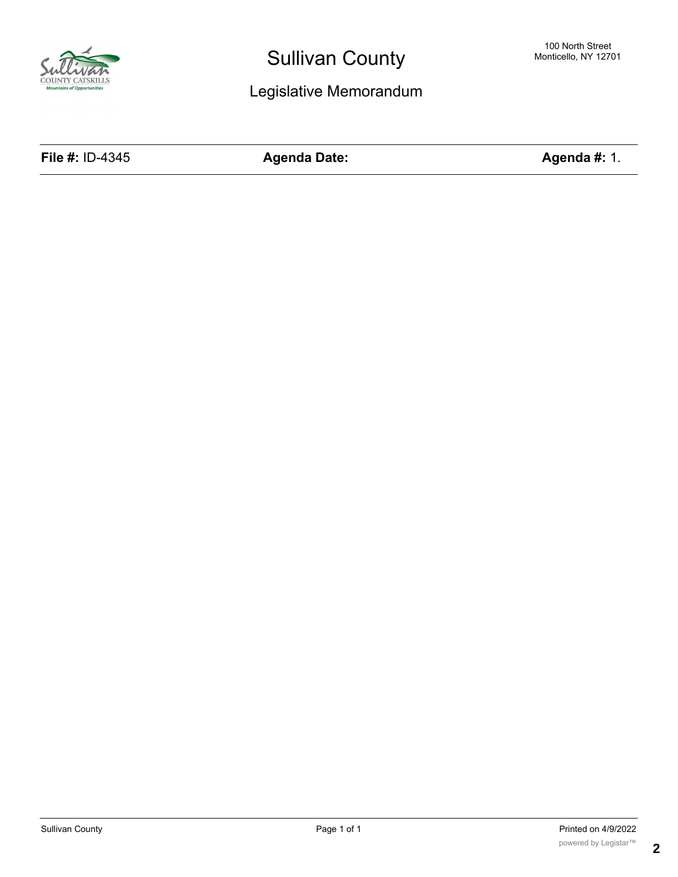

# Legislative Memorandum

**File #:** ID-4345 **Agenda Date: Agenda #:** 1.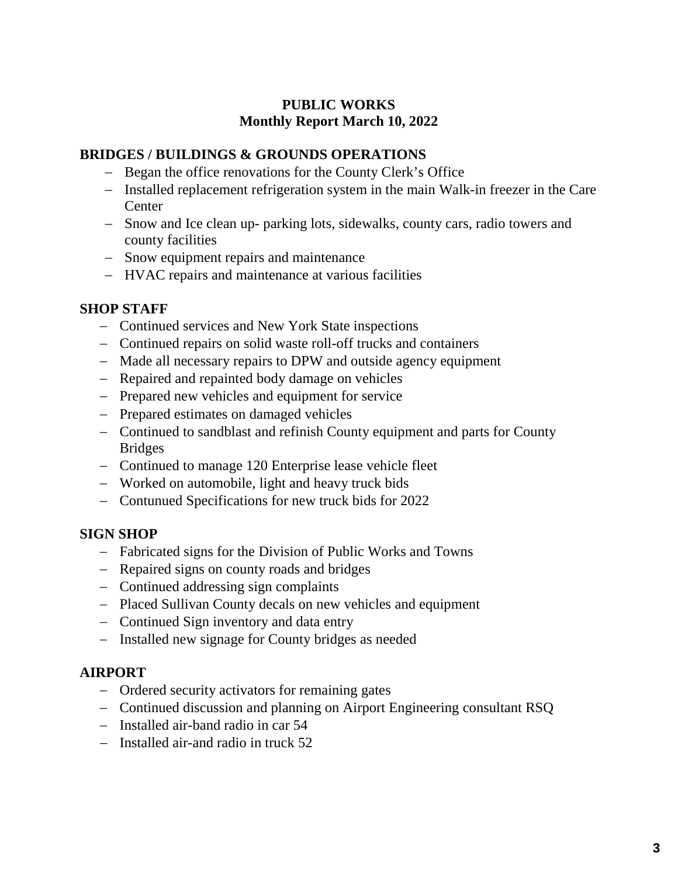# **PUBLIC WORKS Monthly Report March 10, 2022**

## **BRIDGES / BUILDINGS & GROUNDS OPERATIONS**

- − Began the office renovations for the County Clerk's Office
- − Installed replacement refrigeration system in the main Walk-in freezer in the Care Center
- − Snow and Ice clean up- parking lots, sidewalks, county cars, radio towers and county facilities
- − Snow equipment repairs and maintenance
- − HVAC repairs and maintenance at various facilities

## **SHOP STAFF**

- − Continued services and New York State inspections
- − Continued repairs on solid waste roll-off trucks and containers
- − Made all necessary repairs to DPW and outside agency equipment
- − Repaired and repainted body damage on vehicles
- − Prepared new vehicles and equipment for service
- − Prepared estimates on damaged vehicles
- − Continued to sandblast and refinish County equipment and parts for County Bridges
- − Continued to manage 120 Enterprise lease vehicle fleet
- − Worked on automobile, light and heavy truck bids
- − Contunued Specifications for new truck bids for 2022

## **SIGN SHOP**

- − Fabricated signs for the Division of Public Works and Towns
- − Repaired signs on county roads and bridges
- − Continued addressing sign complaints
- − Placed Sullivan County decals on new vehicles and equipment
- − Continued Sign inventory and data entry
- − Installed new signage for County bridges as needed

## **AIRPORT**

- − Ordered security activators for remaining gates
- − Continued discussion and planning on Airport Engineering consultant RSQ
- − Installed air-band radio in car 54
- − Installed air-and radio in truck 52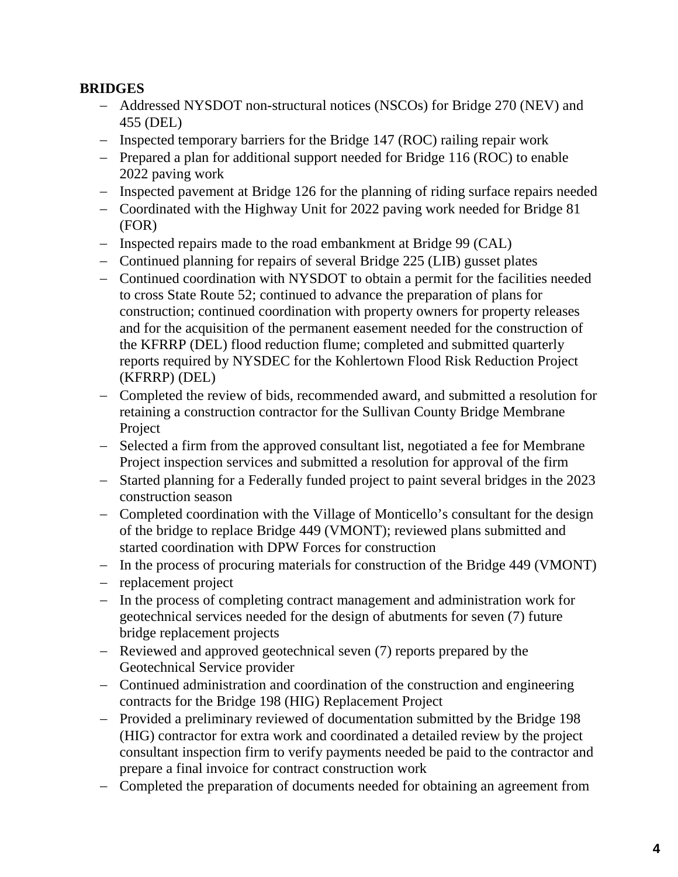# **BRIDGES**

- − Addressed NYSDOT non-structural notices (NSCOs) for Bridge 270 (NEV) and 455 (DEL)
- − Inspected temporary barriers for the Bridge 147 (ROC) railing repair work
- − Prepared a plan for additional support needed for Bridge 116 (ROC) to enable 2022 paving work
- − Inspected pavement at Bridge 126 for the planning of riding surface repairs needed
- − Coordinated with the Highway Unit for 2022 paving work needed for Bridge 81 (FOR)
- − Inspected repairs made to the road embankment at Bridge 99 (CAL)
- − Continued planning for repairs of several Bridge 225 (LIB) gusset plates
- − Continued coordination with NYSDOT to obtain a permit for the facilities needed to cross State Route 52; continued to advance the preparation of plans for construction; continued coordination with property owners for property releases and for the acquisition of the permanent easement needed for the construction of the KFRRP (DEL) flood reduction flume; completed and submitted quarterly reports required by NYSDEC for the Kohlertown Flood Risk Reduction Project (KFRRP) (DEL)
- − Completed the review of bids, recommended award, and submitted a resolution for retaining a construction contractor for the Sullivan County Bridge Membrane Project
- − Selected a firm from the approved consultant list, negotiated a fee for Membrane Project inspection services and submitted a resolution for approval of the firm
- − Started planning for a Federally funded project to paint several bridges in the 2023 construction season
- − Completed coordination with the Village of Monticello's consultant for the design of the bridge to replace Bridge 449 (VMONT); reviewed plans submitted and started coordination with DPW Forces for construction
- − In the process of procuring materials for construction of the Bridge 449 (VMONT)
- − replacement project
- − In the process of completing contract management and administration work for geotechnical services needed for the design of abutments for seven (7) future bridge replacement projects
- − Reviewed and approved geotechnical seven (7) reports prepared by the Geotechnical Service provider
- − Continued administration and coordination of the construction and engineering contracts for the Bridge 198 (HIG) Replacement Project
- − Provided a preliminary reviewed of documentation submitted by the Bridge 198 (HIG) contractor for extra work and coordinated a detailed review by the project consultant inspection firm to verify payments needed be paid to the contractor and prepare a final invoice for contract construction work
- − Completed the preparation of documents needed for obtaining an agreement from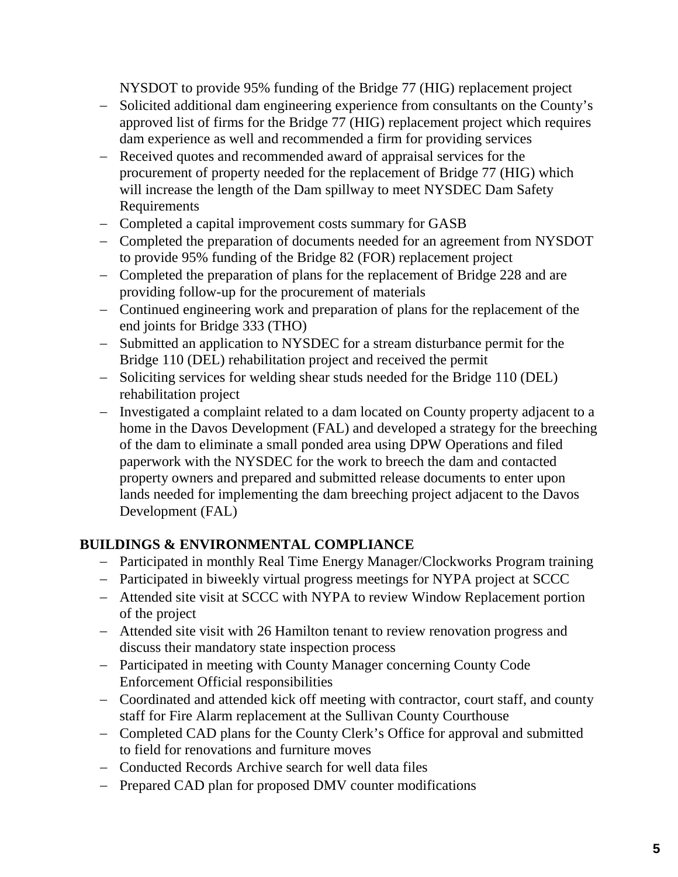NYSDOT to provide 95% funding of the Bridge 77 (HIG) replacement project

- − Solicited additional dam engineering experience from consultants on the County's approved list of firms for the Bridge 77 (HIG) replacement project which requires dam experience as well and recommended a firm for providing services
- − Received quotes and recommended award of appraisal services for the procurement of property needed for the replacement of Bridge 77 (HIG) which will increase the length of the Dam spillway to meet NYSDEC Dam Safety Requirements
- − Completed a capital improvement costs summary for GASB
- − Completed the preparation of documents needed for an agreement from NYSDOT to provide 95% funding of the Bridge 82 (FOR) replacement project
- − Completed the preparation of plans for the replacement of Bridge 228 and are providing follow-up for the procurement of materials
- − Continued engineering work and preparation of plans for the replacement of the end joints for Bridge 333 (THO)
- − Submitted an application to NYSDEC for a stream disturbance permit for the Bridge 110 (DEL) rehabilitation project and received the permit
- − Soliciting services for welding shear studs needed for the Bridge 110 (DEL) rehabilitation project
- − Investigated a complaint related to a dam located on County property adjacent to a home in the Davos Development (FAL) and developed a strategy for the breeching of the dam to eliminate a small ponded area using DPW Operations and filed paperwork with the NYSDEC for the work to breech the dam and contacted property owners and prepared and submitted release documents to enter upon lands needed for implementing the dam breeching project adjacent to the Davos Development (FAL)

# **BUILDINGS & ENVIRONMENTAL COMPLIANCE**

- − Participated in monthly Real Time Energy Manager/Clockworks Program training
- − Participated in biweekly virtual progress meetings for NYPA project at SCCC
- − Attended site visit at SCCC with NYPA to review Window Replacement portion of the project
- − Attended site visit with 26 Hamilton tenant to review renovation progress and discuss their mandatory state inspection process
- − Participated in meeting with County Manager concerning County Code Enforcement Official responsibilities
- − Coordinated and attended kick off meeting with contractor, court staff, and county staff for Fire Alarm replacement at the Sullivan County Courthouse
- − Completed CAD plans for the County Clerk's Office for approval and submitted to field for renovations and furniture moves
- − Conducted Records Archive search for well data files
- − Prepared CAD plan for proposed DMV counter modifications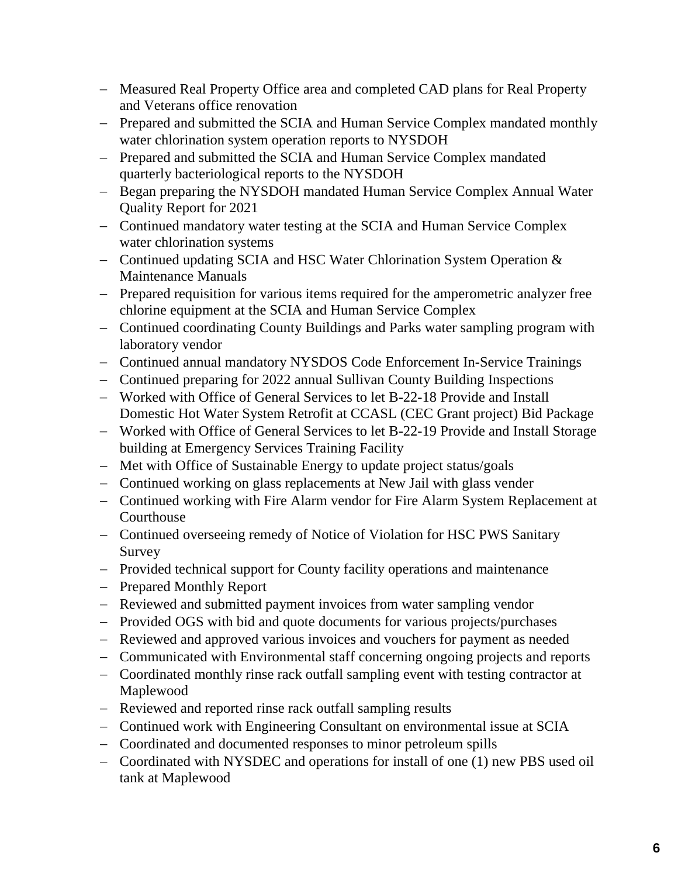- − Measured Real Property Office area and completed CAD plans for Real Property and Veterans office renovation
- − Prepared and submitted the SCIA and Human Service Complex mandated monthly water chlorination system operation reports to NYSDOH
- − Prepared and submitted the SCIA and Human Service Complex mandated quarterly bacteriological reports to the NYSDOH
- − Began preparing the NYSDOH mandated Human Service Complex Annual Water Quality Report for 2021
- − Continued mandatory water testing at the SCIA and Human Service Complex water chlorination systems
- − Continued updating SCIA and HSC Water Chlorination System Operation & Maintenance Manuals
- − Prepared requisition for various items required for the amperometric analyzer free chlorine equipment at the SCIA and Human Service Complex
- − Continued coordinating County Buildings and Parks water sampling program with laboratory vendor
- − Continued annual mandatory NYSDOS Code Enforcement In-Service Trainings
- − Continued preparing for 2022 annual Sullivan County Building Inspections
- − Worked with Office of General Services to let B-22-18 Provide and Install Domestic Hot Water System Retrofit at CCASL (CEC Grant project) Bid Package
- − Worked with Office of General Services to let B-22-19 Provide and Install Storage building at Emergency Services Training Facility
- − Met with Office of Sustainable Energy to update project status/goals
- − Continued working on glass replacements at New Jail with glass vender
- − Continued working with Fire Alarm vendor for Fire Alarm System Replacement at Courthouse
- − Continued overseeing remedy of Notice of Violation for HSC PWS Sanitary Survey
- − Provided technical support for County facility operations and maintenance
- − Prepared Monthly Report
- − Reviewed and submitted payment invoices from water sampling vendor
- − Provided OGS with bid and quote documents for various projects/purchases
- − Reviewed and approved various invoices and vouchers for payment as needed
- − Communicated with Environmental staff concerning ongoing projects and reports
- − Coordinated monthly rinse rack outfall sampling event with testing contractor at Maplewood
- − Reviewed and reported rinse rack outfall sampling results
- − Continued work with Engineering Consultant on environmental issue at SCIA
- − Coordinated and documented responses to minor petroleum spills
- − Coordinated with NYSDEC and operations for install of one (1) new PBS used oil tank at Maplewood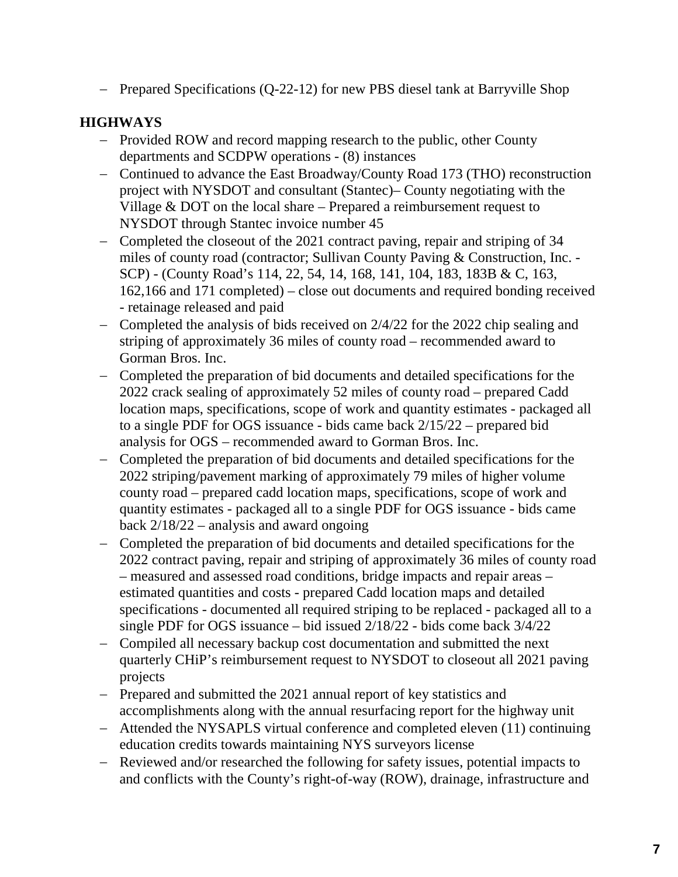− Prepared Specifications (Q-22-12) for new PBS diesel tank at Barryville Shop

# **HIGHWAYS**

- − Provided ROW and record mapping research to the public, other County departments and SCDPW operations - (8) instances
- − Continued to advance the East Broadway/County Road 173 (THO) reconstruction project with NYSDOT and consultant (Stantec)– County negotiating with the Village & DOT on the local share – Prepared a reimbursement request to NYSDOT through Stantec invoice number 45
- − Completed the closeout of the 2021 contract paving, repair and striping of 34 miles of county road (contractor; Sullivan County Paving & Construction, Inc. - SCP) - (County Road's 114, 22, 54, 14, 168, 141, 104, 183, 183B & C, 163, 162,166 and 171 completed) – close out documents and required bonding received - retainage released and paid
- − Completed the analysis of bids received on 2/4/22 for the 2022 chip sealing and striping of approximately 36 miles of county road – recommended award to Gorman Bros. Inc.
- − Completed the preparation of bid documents and detailed specifications for the 2022 crack sealing of approximately 52 miles of county road – prepared Cadd location maps, specifications, scope of work and quantity estimates - packaged all to a single PDF for OGS issuance - bids came back 2/15/22 – prepared bid analysis for OGS – recommended award to Gorman Bros. Inc.
- − Completed the preparation of bid documents and detailed specifications for the 2022 striping/pavement marking of approximately 79 miles of higher volume county road – prepared cadd location maps, specifications, scope of work and quantity estimates - packaged all to a single PDF for OGS issuance - bids came back  $2/18/22$  – analysis and award ongoing
- − Completed the preparation of bid documents and detailed specifications for the 2022 contract paving, repair and striping of approximately 36 miles of county road – measured and assessed road conditions, bridge impacts and repair areas – estimated quantities and costs - prepared Cadd location maps and detailed specifications - documented all required striping to be replaced - packaged all to a single PDF for OGS issuance – bid issued 2/18/22 - bids come back 3/4/22
- − Compiled all necessary backup cost documentation and submitted the next quarterly CHiP's reimbursement request to NYSDOT to closeout all 2021 paving projects
- − Prepared and submitted the 2021 annual report of key statistics and accomplishments along with the annual resurfacing report for the highway unit
- − Attended the NYSAPLS virtual conference and completed eleven (11) continuing education credits towards maintaining NYS surveyors license
- − Reviewed and/or researched the following for safety issues, potential impacts to and conflicts with the County's right-of-way (ROW), drainage, infrastructure and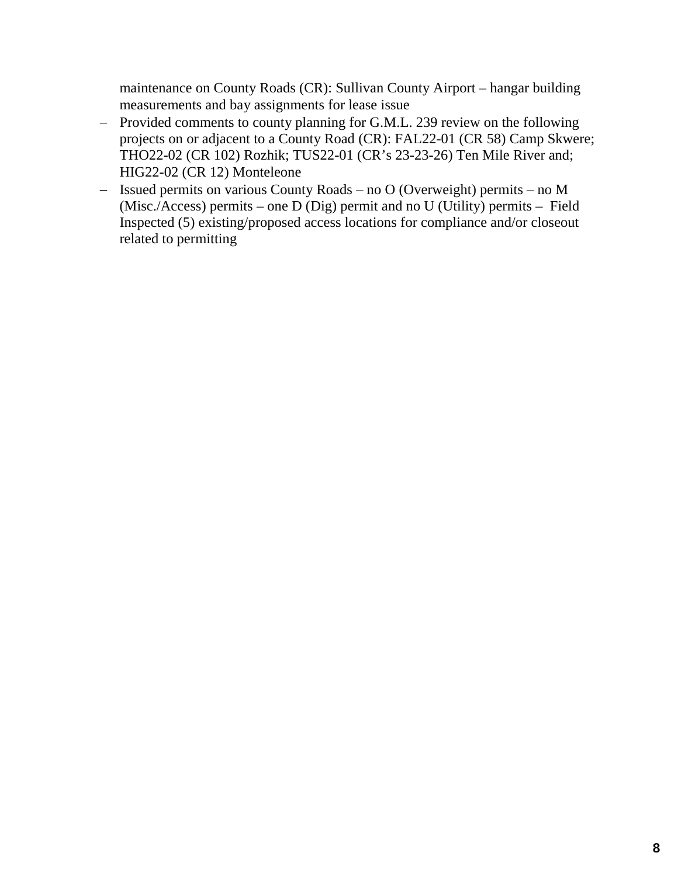maintenance on County Roads (CR): Sullivan County Airport – hangar building measurements and bay assignments for lease issue

- − Provided comments to county planning for G.M.L. 239 review on the following projects on or adjacent to a County Road (CR): FAL22-01 (CR 58) Camp Skwere; THO22-02 (CR 102) Rozhik; TUS22-01 (CR's 23-23-26) Ten Mile River and; HIG22-02 (CR 12) Monteleone
- − Issued permits on various County Roads no O (Overweight) permits no M (Misc./Access) permits – one D (Dig) permit and no U (Utility) permits – Field Inspected (5) existing/proposed access locations for compliance and/or closeout related to permitting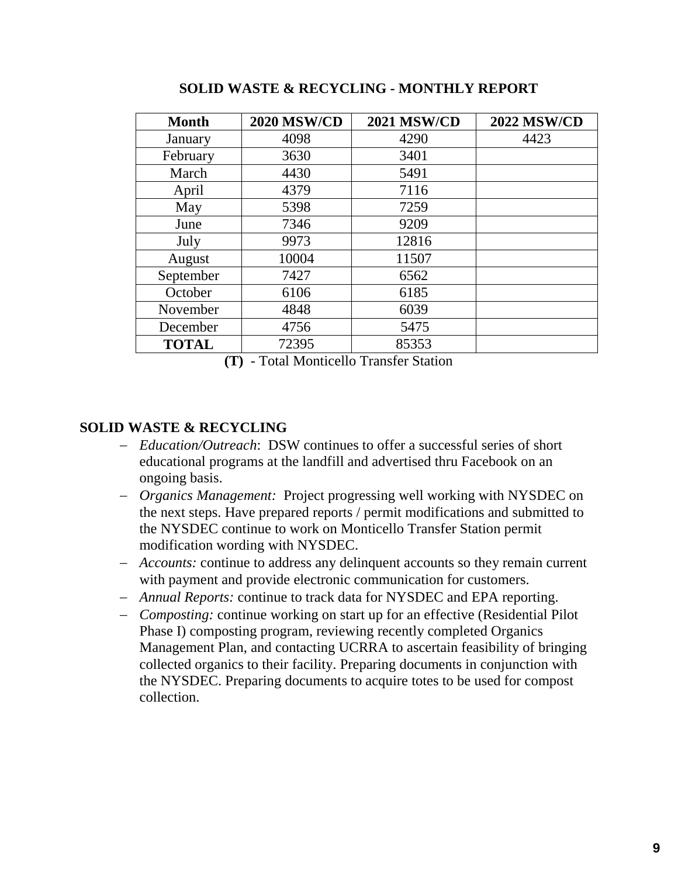| <b>Month</b> | <b>2020 MSW/CD</b> | <b>2021 MSW/CD</b> | <b>2022 MSW/CD</b> |
|--------------|--------------------|--------------------|--------------------|
| January      | 4098               | 4290               | 4423               |
| February     | 3630               | 3401               |                    |
| March        | 4430               | 5491               |                    |
| April        | 4379               | 7116               |                    |
| May          | 5398               | 7259               |                    |
| June         | 7346               | 9209               |                    |
| July         | 9973               | 12816              |                    |
| August       | 10004              | 11507              |                    |
| September    | 7427               | 6562               |                    |
| October      | 6106               | 6185               |                    |
| November     | 4848               | 6039               |                    |
| December     | 4756               | 5475               |                    |
| <b>TOTAL</b> | 72395              | 85353              |                    |

**SOLID WASTE & RECYCLING - MONTHLY REPORT**

**(T)** - Total Monticello Transfer Station

## **SOLID WASTE & RECYCLING**

- − *Education/Outreach*: DSW continues to offer a successful series of short educational programs at the landfill and advertised thru Facebook on an ongoing basis.
- − *Organics Management:* Project progressing well working with NYSDEC on the next steps. Have prepared reports / permit modifications and submitted to the NYSDEC continue to work on Monticello Transfer Station permit modification wording with NYSDEC.
- − *Accounts:* continue to address any delinquent accounts so they remain current with payment and provide electronic communication for customers.
- − *Annual Reports:* continue to track data for NYSDEC and EPA reporting.
- − *Composting:* continue working on start up for an effective (Residential Pilot Phase I) composting program, reviewing recently completed Organics Management Plan, and contacting UCRRA to ascertain feasibility of bringing collected organics to their facility. Preparing documents in conjunction with the NYSDEC. Preparing documents to acquire totes to be used for compost collection.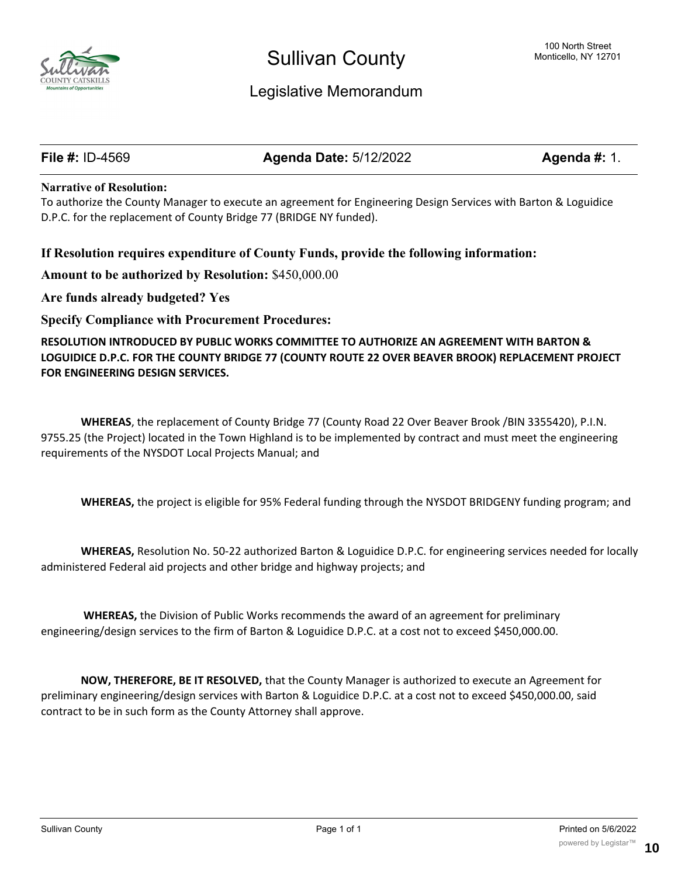

# Legislative Memorandum

**File #:** ID-4569 **Agenda Date:** 5/12/2022 **Agenda #:** 1.

#### **Narrative of Resolution:**

To authorize the County Manager to execute an agreement for Engineering Design Services with Barton & Loguidice D.P.C. for the replacement of County Bridge 77 (BRIDGE NY funded).

### **If Resolution requires expenditure of County Funds, provide the following information:**

**Amount to be authorized by Resolution:** \$450,000.00

**Are funds already budgeted? Yes**

**Specify Compliance with Procurement Procedures:**

**RESOLUTION INTRODUCED BY PUBLIC WORKS COMMITTEE TO AUTHORIZE AN AGREEMENT WITH BARTON & LOGUIDICE D.P.C. FOR THE COUNTY BRIDGE 77 (COUNTY ROUTE 22 OVER BEAVER BROOK) REPLACEMENT PROJECT FOR ENGINEERING DESIGN SERVICES.**

**WHEREAS**, the replacement of County Bridge 77 (County Road 22 Over Beaver Brook /BIN 3355420), P.I.N. 9755.25 (the Project) located in the Town Highland is to be implemented by contract and must meet the engineering requirements of the NYSDOT Local Projects Manual; and

**WHEREAS,** the project is eligible for 95% Federal funding through the NYSDOT BRIDGENY funding program; and

**WHEREAS,** Resolution No. 50-22 authorized Barton & Loguidice D.P.C. for engineering services needed for locally administered Federal aid projects and other bridge and highway projects; and

**WHEREAS,** the Division of Public Works recommends the award of an agreement for preliminary engineering/design services to the firm of Barton & Loguidice D.P.C. at a cost not to exceed \$450,000.00.

**NOW, THEREFORE, BE IT RESOLVED,** that the County Manager is authorized to execute an Agreement for preliminary engineering/design services with Barton & Loguidice D.P.C. at a cost not to exceed \$450,000.00, said contract to be in such form as the County Attorney shall approve.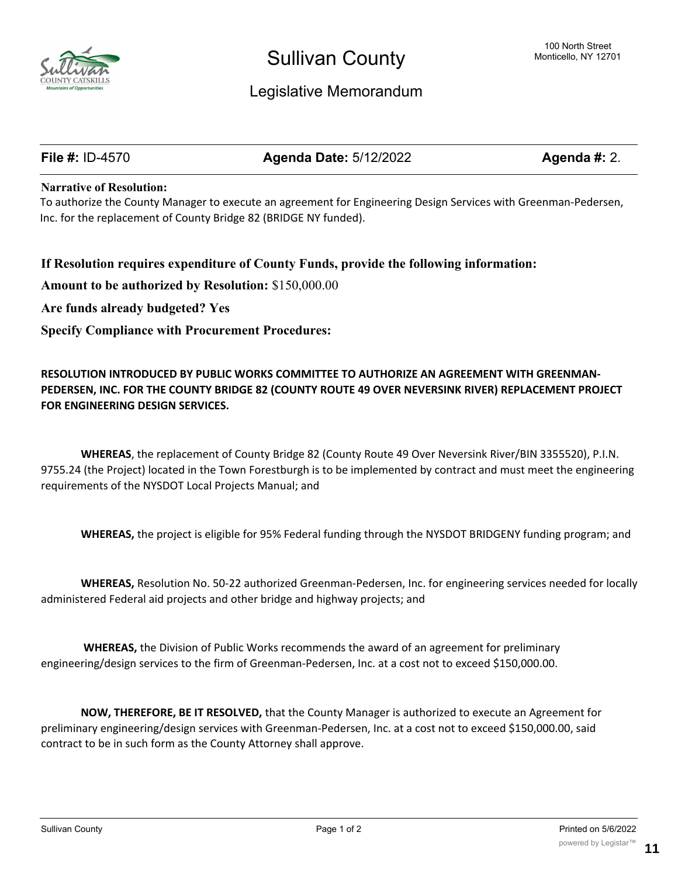

# Legislative Memorandum

**File #:** ID-4570 **Agenda Date:** 5/12/2022 **Agenda #:** 2.

#### **Narrative of Resolution:**

To authorize the County Manager to execute an agreement for Engineering Design Services with Greenman-Pedersen, Inc. for the replacement of County Bridge 82 (BRIDGE NY funded).

#### **If Resolution requires expenditure of County Funds, provide the following information:**

**Amount to be authorized by Resolution:** \$150,000.00

**Are funds already budgeted? Yes**

**Specify Compliance with Procurement Procedures:**

### **RESOLUTION INTRODUCED BY PUBLIC WORKS COMMITTEE TO AUTHORIZE AN AGREEMENT WITH GREENMAN-PEDERSEN, INC. FOR THE COUNTY BRIDGE 82 (COUNTY ROUTE 49 OVER NEVERSINK RIVER) REPLACEMENT PROJECT FOR ENGINEERING DESIGN SERVICES.**

**WHEREAS**, the replacement of County Bridge 82 (County Route 49 Over Neversink River/BIN 3355520), P.I.N. 9755.24 (the Project) located in the Town Forestburgh is to be implemented by contract and must meet the engineering requirements of the NYSDOT Local Projects Manual; and

**WHEREAS,** the project is eligible for 95% Federal funding through the NYSDOT BRIDGENY funding program; and

**WHEREAS,** Resolution No. 50-22 authorized Greenman-Pedersen, Inc. for engineering services needed for locally administered Federal aid projects and other bridge and highway projects; and

**WHEREAS,** the Division of Public Works recommends the award of an agreement for preliminary engineering/design services to the firm of Greenman-Pedersen, Inc. at a cost not to exceed \$150,000.00.

**NOW, THEREFORE, BE IT RESOLVED,** that the County Manager is authorized to execute an Agreement for preliminary engineering/design services with Greenman-Pedersen, Inc. at a cost not to exceed \$150,000.00, said contract to be in such form as the County Attorney shall approve.